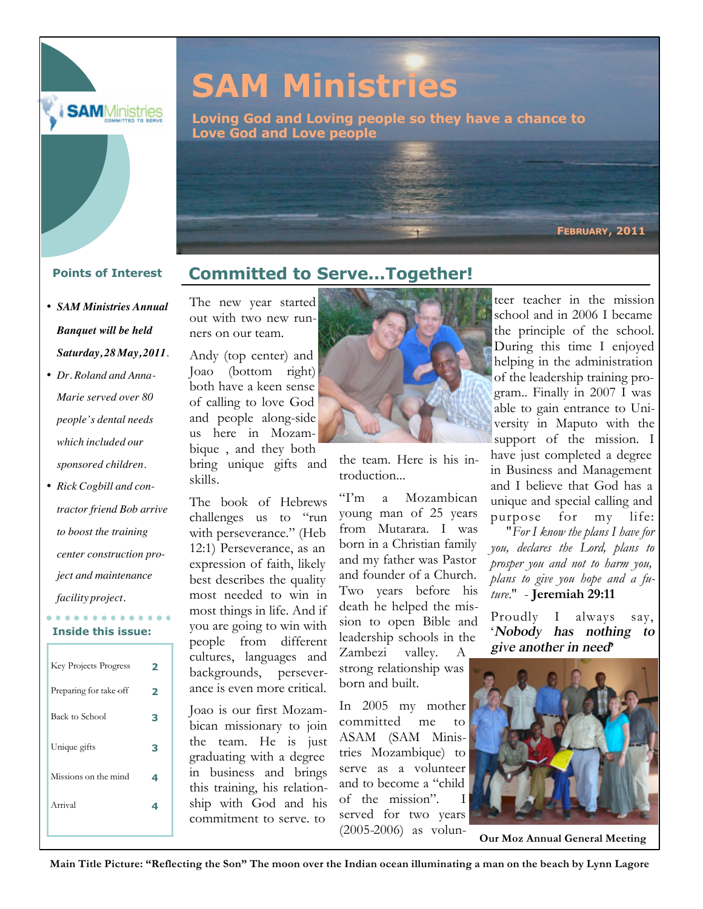

# **SAM Ministries**

**Loving God and Loving people so they have a chance to Love God and Love people**

- *SAM Ministries Annual Banquet will be held Saturday, 28 May, 2011.*
- *Dr. Roland and Anna-Marie served over 80 people's dental needs which included our sponsored children.*
- *Rick Cogbill and contractor friend Bob arrive to boost the training center construction project and maintenance facility project.*

### . . . . . . . . . . . . . . **Inside this issue:**

| <b>Key Projects Progress</b> | 2 |
|------------------------------|---|
| Preparing for take-off       | 2 |
| Back to School               | З |
| Unique gifts                 | З |
| Missions on the mind         | 4 |
| Arrival                      | 4 |
|                              |   |

# **Points of Interest Committed to Serve...Together!**

The new year started out with two new runners on our team.

Andy (top center) and Joao (bottom right) both have a keen sense of calling to love God and people along-side us here in Mozambique , and they both bring unique gifts and skills.

The book of Hebrews challenges us to "run with perseverance." (Heb 12:1) Perseverance, as an expression of faith, likely best describes the quality most needed to win in most things in life. And if you are going to win with people from different cultures, languages and backgrounds, perseverance is even more critical.

Joao is our first Mozambican missionary to join the team. He is just graduating with a degree in business and brings this training, his relationship with God and his commitment to serve. to



the team. Here is his introduction...

"I'm a Mozambican young man of 25 years from Mutarara. I was born in a Christian family and my father was Pastor and founder of a Church. Two years before his death he helped the mission to open Bible and leadership schools in the

Zambezi valley. A strong relationship was born and built.

In 2005 my mother committed me to ASAM (SAM Ministries Mozambique) to serve as a volunteer and to become a "child of the mission". served for two years

teer teacher in the mission school and in 2006 I became the principle of the school. During this time I enjoyed helping in the administration of the leadership training program.. Finally in 2007 I was able to gain entrance to University in Maputo with the support of the mission. I have just completed a degree in Business and Management and I believe that God has a unique and special calling and purpose for my life: "*For I know the plans I have for you, declares the Lord, plans to prosper you and not to harm you, plans to give you hope and a fu-*

**FEBRUARY, 2011**

Proudly I always say, '<sup>N</sup>obod<sup>y</sup> <sup>h</sup><sup>a</sup><sup>s</sup> <sup>n</sup><sup>o</sup>thing <sup>t</sup><sup>o</sup> <sup>g</sup>iv<sup>e</sup> <sup>a</sup>n<sup>o</sup>the<sup>r</sup> <sup>i</sup><sup>n</sup> need**'**

*ture*." - **Jeremiah 29:11**



(2005-2006) as volun- **Our Moz Annual General Meeting**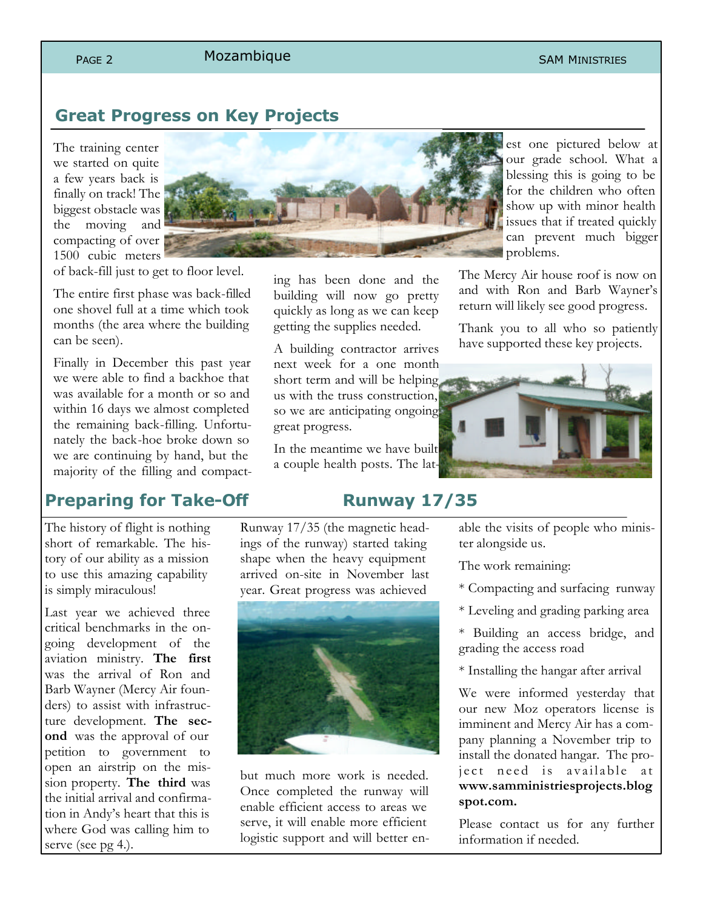### **PAGE 2** MOZAMbique SAM MINISTRIES

# **Great Progress on Key Projects**

The training center we started on quite a few years back is finally on track! The biggest obstacle was the moving and compacting of over 1500 cubic meters

of back-fill just to get to floor level.

The entire first phase was back-filled one shovel full at a time which took months (the area where the building can be seen).

Finally in December this past year we were able to find a backhoe that was available for a month or so and within 16 days we almost completed the remaining back-filling. Unfortunately the back-hoe broke down so we are continuing by hand, but the majority of the filling and compact-



ing has been done and the building will now go pretty quickly as long as we can keep getting the supplies needed.

A building contractor arrives next week for a one month short term and will be helping us with the truss construction, so we are anticipating ongoing great progress.

In the meantime we have built a couple health posts. The lat-

est one pictured below at our grade school. What a blessing this is going to be for the children who often show up with minor health issues that if treated quickly can prevent much bigger problems.

The Mercy Air house roof is now on and with Ron and Barb Wayner's return will likely see good progress.

Thank you to all who so patiently have supported these key projects.



# **Preparing for Take-Off Runway 17/35**

The history of flight is nothing short of remarkable. The history of our ability as a mission to use this amazing capability is simply miraculous!

Last year we achieved three critical benchmarks in the ongoing development of the aviation ministry. **The first** was the arrival of Ron and Barb Wayner (Mercy Air founders) to assist with infrastructure development. **The second** was the approval of our petition to government to open an airstrip on the mission property. **The third** was the initial arrival and confirmation in Andy's heart that this is where God was calling him to serve (see pg 4.).

Runway 17/35 (the magnetic headings of the runway) started taking shape when the heavy equipment arrived on-site in November last year. Great progress was achieved



but much more work is needed. Once completed the runway will enable efficient access to areas we serve, it will enable more efficient logistic support and will better enable the visits of people who minister alongside us.

The work remaining:

- \* Compacting and surfacing runway
- \* Leveling and grading parking area

\* Building an access bridge, and grading the access road

\* Installing the hangar after arrival

We were informed yesterday that our new Moz operators license is imminent and Mercy Air has a company planning a November trip to install the donated hangar. The project need is available at **www.samministriesprojects.blog spot.com.**

Please contact us for any further information if needed.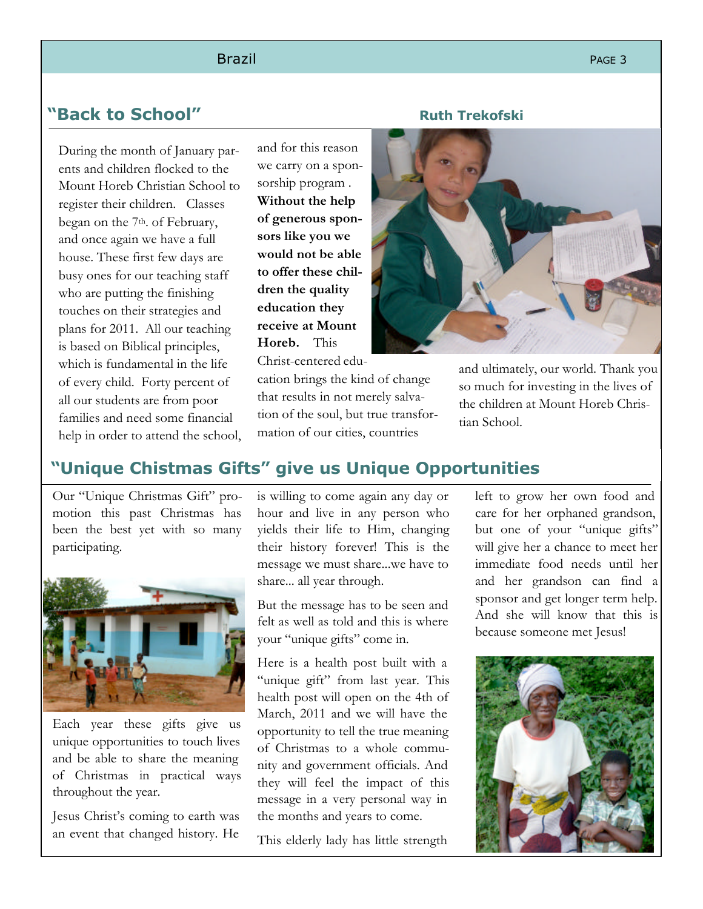### Brazil Page 3 and 2014 and 2014 and 2014 and 2014 and 2014 and 2014 and 2014 and 2014 and 2014 and 2014 and 20

# **"Back to School" Ruth Trekofski**

During the month of January parents and children flocked to the Mount Horeb Christian School to register their children. Classes began on the 7<sup>th</sup>. of February, and once again we have a full house. These first few days are busy ones for our teaching staff who are putting the finishing touches on their strategies and plans for 2011. All our teaching is based on Biblical principles, which is fundamental in the life of every child. Forty percent of all our students are from poor families and need some financial help in order to attend the school,

and for this reason we carry on a sponsorship program . **Without the help of generous sponsors like you we would not be able to offer these children the quality education they receive at Mount Horeb.** This Christ-centered edu-

cation brings the kind of change that results in not merely salvation of the soul, but true transformation of our cities, countries



and ultimately, our world. Thank you so much for investing in the lives of the children at Mount Horeb Christian School.

# **"Unique Chistmas Gifts" give us Unique Opportunities**

Our "Unique Christmas Gift" promotion this past Christmas has been the best yet with so many participating.



Each year these gifts give us unique opportunities to touch lives and be able to share the meaning of Christmas in practical ways throughout the year.

Jesus Christ's coming to earth was an event that changed history. He

is willing to come again any day or hour and live in any person who yields their life to Him, changing their history forever! This is the message we must share...we have to share... all year through.

But the message has to be seen and felt as well as told and this is where your "unique gifts" come in.

Here is a health post built with a "unique gift" from last year. This health post will open on the 4th of March, 2011 and we will have the opportunity to tell the true meaning of Christmas to a whole community and government officials. And they will feel the impact of this message in a very personal way in the months and years to come.

This elderly lady has little strength

left to grow her own food and care for her orphaned grandson, but one of your "unique gifts" will give her a chance to meet her immediate food needs until her and her grandson can find a sponsor and get longer term help. And she will know that this is because someone met Jesus!